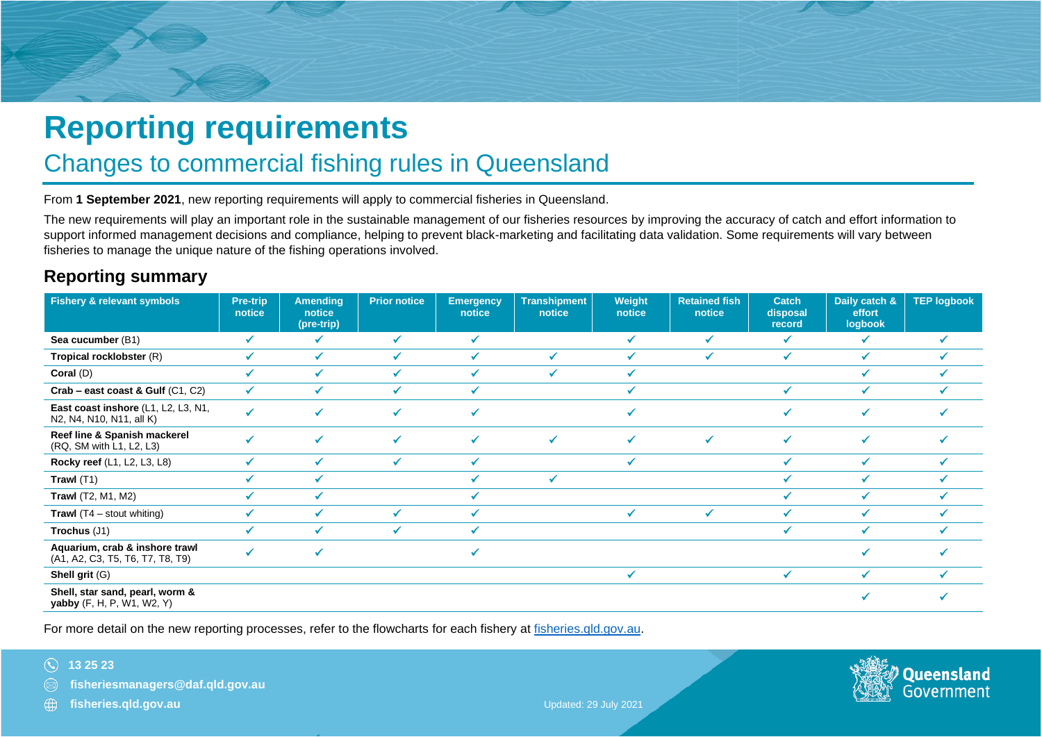# **Reporting requirements**

## Changes to commercial fishing rules in Queensland

From **1 September 2021**, new reporting requirements will apply to commercial fisheries in Queensland.

The new requirements will play an important role in the sustainable management of our fisheries resources by improving the accuracy of catch and effort information to support informed management decisions and compliance, helping to prevent black-marketing and facilitating data validation. Some requirements will vary between fisheries to manage the unique nature of the fishing operations involved.

#### **Reporting summary**

| <b>Fishery &amp; relevant symbols</b>                              | Pre-trip<br>notice | <b>Amending</b><br>notice<br>(pre-trip) | <b>Prior notice</b> | <b>Emergency</b><br>notice | <b>Transhipment</b><br>notice | Weight<br>notice | <b>Retained fish</b><br>notice | <b>Catch</b><br>disposal<br>record | Daily catch &<br>effort<br>logbook | <b>TEP logbook</b> |
|--------------------------------------------------------------------|--------------------|-----------------------------------------|---------------------|----------------------------|-------------------------------|------------------|--------------------------------|------------------------------------|------------------------------------|--------------------|
| Sea cucumber (B1)                                                  | ✔                  |                                         |                     |                            |                               | $\checkmark$     | $\overline{\mathcal{L}}$       |                                    |                                    |                    |
| Tropical rocklobster (R)                                           | ✔                  | ◢                                       |                     |                            | ✔                             | ✔                |                                |                                    |                                    |                    |
| Coral $(D)$                                                        | ✔                  |                                         |                     |                            | J                             | J                |                                |                                    |                                    |                    |
| Crab - east coast & Gulf (C1, C2)                                  | $\checkmark$       |                                         |                     |                            |                               | ✓                |                                |                                    |                                    |                    |
| East coast inshore (L1, L2, L3, N1,<br>N2, N4, N10, N11, all K)    | J                  |                                         |                     |                            |                               | $\checkmark$     |                                |                                    |                                    |                    |
| Reef line & Spanish mackerel<br>(RQ, SM with L1, L2, L3)           | $\checkmark$       |                                         |                     | $\checkmark$               | V                             | $\checkmark$     |                                |                                    |                                    |                    |
| <b>Rocky reef</b> (L1, L2, L3, L8)                                 |                    |                                         |                     |                            |                               | $\checkmark$     |                                |                                    |                                    |                    |
| Trawl $(T1)$                                                       |                    |                                         |                     |                            | ✓                             |                  |                                |                                    |                                    |                    |
| <b>Trawl</b> (T2, M1, M2)                                          |                    |                                         |                     |                            |                               |                  |                                |                                    |                                    |                    |
| <b>Trawl</b> $(T4 - \text{stout whiting})$                         |                    |                                         |                     |                            |                               | ✔                |                                |                                    |                                    |                    |
| Trochus (J1)                                                       | ✔                  |                                         |                     |                            |                               |                  |                                |                                    |                                    |                    |
| Aquarium, crab & inshore trawl<br>(A1, A2, C3, T5, T6, T7, T8, T9) | J                  |                                         |                     |                            |                               |                  |                                |                                    |                                    |                    |
| Shell grit (G)                                                     |                    |                                         |                     |                            |                               | $\checkmark$     |                                | $\checkmark$                       |                                    | $\checkmark$       |
| Shell, star sand, pearl, worm &<br>yabby (F, H, P, W1, W2, Y)      |                    |                                         |                     |                            |                               |                  |                                |                                    |                                    |                    |

For more detail on the new reporting processes, refer to the flowcharts for each fishery at [fisheries.qld.gov.au.](https://www.daf.qld.gov.au/business-priorities/fisheries/commercial)

#### $\mathbb{Q}$ **13 25 23**

**[fisheriesmanagers@daf.qld.gov.au](mailto:fisheriesmanagers@daf.qld.gov.au)**

⊕ **[fisheries.qld.gov.au](https://www.daf.qld.gov.au/business-priorities/fisheries)** Updated: 29 July 2021

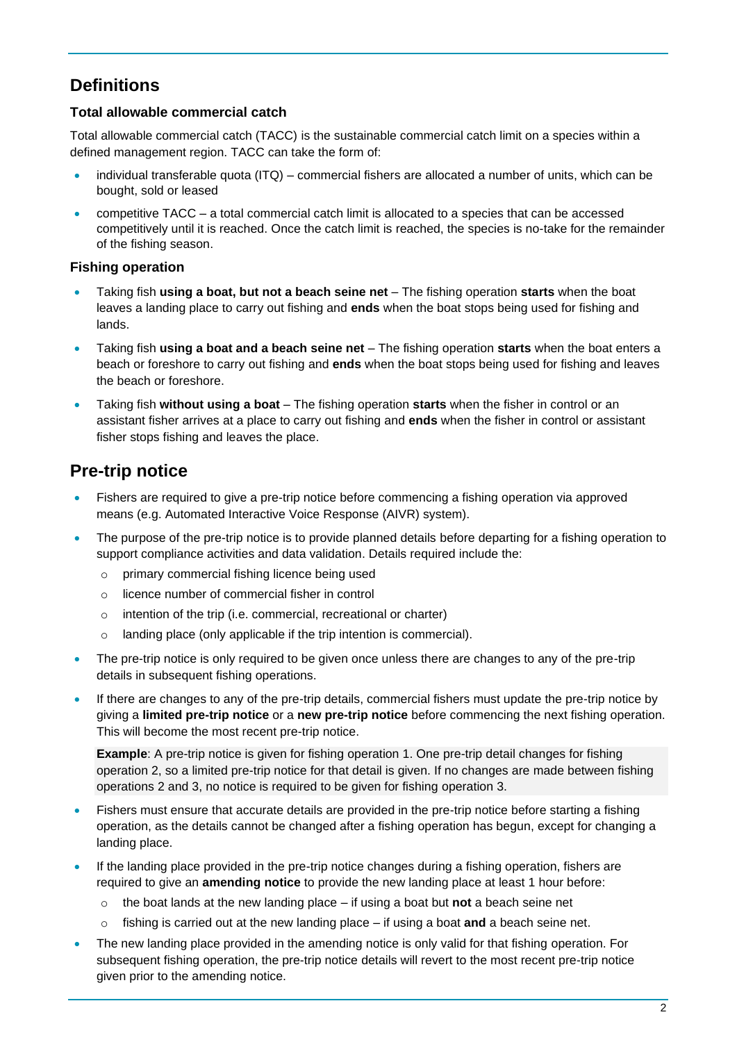#### **Definitions**

#### **Total allowable commercial catch**

Total allowable commercial catch (TACC) is the sustainable commercial catch limit on a species within a defined management region. TACC can take the form of:

- individual transferable quota (ITQ) commercial fishers are allocated a number of units, which can be bought, sold or leased
- competitive TACC a total commercial catch limit is allocated to a species that can be accessed competitively until it is reached. Once the catch limit is reached, the species is no-take for the remainder of the fishing season.

#### **Fishing operation**

- Taking fish **using a boat, but not a beach seine net** The fishing operation **starts** when the boat leaves a landing place to carry out fishing and **ends** when the boat stops being used for fishing and lands.
- Taking fish **using a boat and a beach seine net** The fishing operation **starts** when the boat enters a beach or foreshore to carry out fishing and **ends** when the boat stops being used for fishing and leaves the beach or foreshore.
- Taking fish **without using a boat** The fishing operation **starts** when the fisher in control or an assistant fisher arrives at a place to carry out fishing and **ends** when the fisher in control or assistant fisher stops fishing and leaves the place.

#### **Pre-trip notice**

- Fishers are required to give a pre-trip notice before commencing a fishing operation via approved means (e.g. Automated Interactive Voice Response (AIVR) system).
- The purpose of the pre-trip notice is to provide planned details before departing for a fishing operation to support compliance activities and data validation. Details required include the:
	- o primary commercial fishing licence being used
	- o licence number of commercial fisher in control
	- o intention of the trip (i.e. commercial, recreational or charter)
	- o landing place (only applicable if the trip intention is commercial).
- The pre-trip notice is only required to be given once unless there are changes to any of the pre-trip details in subsequent fishing operations.
- If there are changes to any of the pre-trip details, commercial fishers must update the pre-trip notice by giving a **limited pre-trip notice** or a **new pre-trip notice** before commencing the next fishing operation. This will become the most recent pre-trip notice.

**Example**: A pre-trip notice is given for fishing operation 1. One pre-trip detail changes for fishing operation 2, so a limited pre-trip notice for that detail is given. If no changes are made between fishing operations 2 and 3, no notice is required to be given for fishing operation 3.

- Fishers must ensure that accurate details are provided in the pre-trip notice before starting a fishing operation, as the details cannot be changed after a fishing operation has begun, except for changing a landing place.
- If the landing place provided in the pre-trip notice changes during a fishing operation, fishers are required to give an **amending notice** to provide the new landing place at least 1 hour before:
	- o the boat lands at the new landing place if using a boat but **not** a beach seine net
	- o fishing is carried out at the new landing place if using a boat **and** a beach seine net.
- The new landing place provided in the amending notice is only valid for that fishing operation. For subsequent fishing operation, the pre-trip notice details will revert to the most recent pre-trip notice given prior to the amending notice.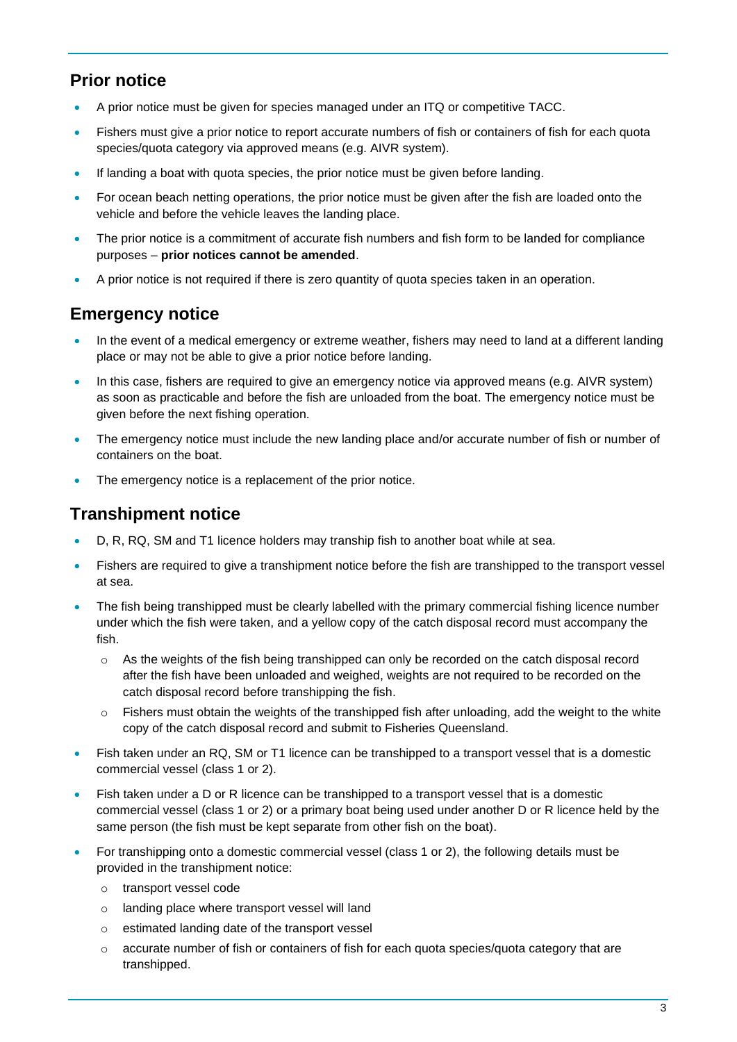#### **Prior notice**

- A prior notice must be given for species managed under an ITQ or competitive TACC.
- Fishers must give a prior notice to report accurate numbers of fish or containers of fish for each quota species/quota category via approved means (e.g. AIVR system).
- If landing a boat with quota species, the prior notice must be given before landing.
- For ocean beach netting operations, the prior notice must be given after the fish are loaded onto the vehicle and before the vehicle leaves the landing place.
- The prior notice is a commitment of accurate fish numbers and fish form to be landed for compliance purposes – **prior notices cannot be amended**.
- A prior notice is not required if there is zero quantity of quota species taken in an operation.

#### **Emergency notice**

- In the event of a medical emergency or extreme weather, fishers may need to land at a different landing place or may not be able to give a prior notice before landing.
- In this case, fishers are required to give an emergency notice via approved means (e.g. AIVR system) as soon as practicable and before the fish are unloaded from the boat. The emergency notice must be given before the next fishing operation.
- The emergency notice must include the new landing place and/or accurate number of fish or number of containers on the boat.
- The emergency notice is a replacement of the prior notice.

### **Transhipment notice**

- D, R, RQ, SM and T1 licence holders may tranship fish to another boat while at sea.
- Fishers are required to give a transhipment notice before the fish are transhipped to the transport vessel at sea.
- The fish being transhipped must be clearly labelled with the primary commercial fishing licence number under which the fish were taken, and a yellow copy of the catch disposal record must accompany the fish.
	- $\circ$  As the weights of the fish being transhipped can only be recorded on the catch disposal record after the fish have been unloaded and weighed, weights are not required to be recorded on the catch disposal record before transhipping the fish.
	- $\circ$  Fishers must obtain the weights of the transhipped fish after unloading, add the weight to the white copy of the catch disposal record and submit to Fisheries Queensland.
- Fish taken under an RQ, SM or T1 licence can be transhipped to a transport vessel that is a domestic commercial vessel (class 1 or 2).
- Fish taken under a D or R licence can be transhipped to a transport vessel that is a domestic commercial vessel (class 1 or 2) or a primary boat being used under another D or R licence held by the same person (the fish must be kept separate from other fish on the boat).
- For transhipping onto a domestic commercial vessel (class 1 or 2), the following details must be provided in the transhipment notice:
	- o transport vessel code
	- o landing place where transport vessel will land
	- o estimated landing date of the transport vessel
	- $\circ$  accurate number of fish or containers of fish for each quota species/quota category that are transhipped.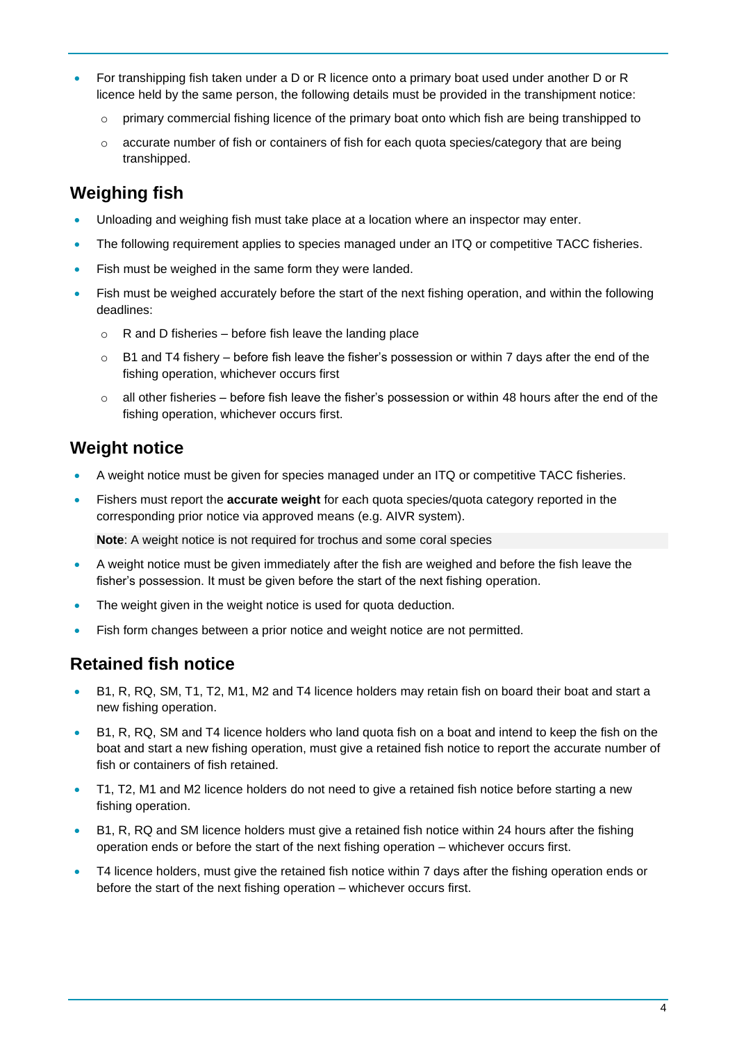- For transhipping fish taken under a D or R licence onto a primary boat used under another D or R licence held by the same person, the following details must be provided in the transhipment notice:
	- $\circ$  primary commercial fishing licence of the primary boat onto which fish are being transhipped to
	- $\circ$  accurate number of fish or containers of fish for each quota species/category that are being transhipped.

#### **Weighing fish**

- Unloading and weighing fish must take place at a location where an inspector may enter.
- The following requirement applies to species managed under an ITQ or competitive TACC fisheries.
- Fish must be weighed in the same form they were landed.
- Fish must be weighed accurately before the start of the next fishing operation, and within the following deadlines:
	- $\circ$  R and D fisheries before fish leave the landing place
	- $\circ$  B1 and T4 fishery before fish leave the fisher's possession or within 7 days after the end of the fishing operation, whichever occurs first
	- $\circ$  all other fisheries before fish leave the fisher's possession or within 48 hours after the end of the fishing operation, whichever occurs first.

#### **Weight notice**

- A weight notice must be given for species managed under an ITQ or competitive TACC fisheries.
- Fishers must report the **accurate weight** for each quota species/quota category reported in the corresponding prior notice via approved means (e.g. AIVR system).

**Note**: A weight notice is not required for trochus and some coral species

- A weight notice must be given immediately after the fish are weighed and before the fish leave the fisher's possession. It must be given before the start of the next fishing operation.
- The weight given in the weight notice is used for quota deduction.
- Fish form changes between a prior notice and weight notice are not permitted.

#### **Retained fish notice**

- B1, R, RQ, SM, T1, T2, M1, M2 and T4 licence holders may retain fish on board their boat and start a new fishing operation.
- B1, R, RQ, SM and T4 licence holders who land quota fish on a boat and intend to keep the fish on the boat and start a new fishing operation, must give a retained fish notice to report the accurate number of fish or containers of fish retained.
- T1, T2, M1 and M2 licence holders do not need to give a retained fish notice before starting a new fishing operation.
- B1, R, RQ and SM licence holders must give a retained fish notice within 24 hours after the fishing operation ends or before the start of the next fishing operation – whichever occurs first.
- T4 licence holders, must give the retained fish notice within 7 days after the fishing operation ends or before the start of the next fishing operation – whichever occurs first.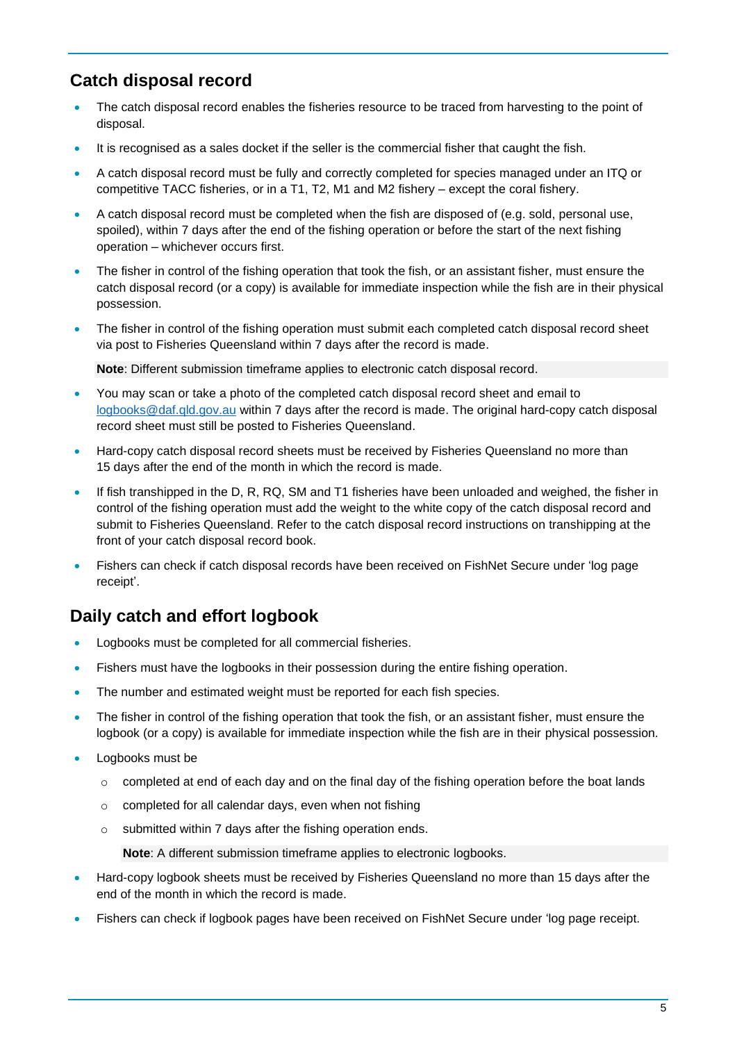#### **Catch disposal record**

- The catch disposal record enables the fisheries resource to be traced from harvesting to the point of disposal.
- It is recognised as a sales docket if the seller is the commercial fisher that caught the fish.
- A catch disposal record must be fully and correctly completed for species managed under an ITQ or competitive TACC fisheries, or in a T1, T2, M1 and M2 fishery – except the coral fishery.
- A catch disposal record must be completed when the fish are disposed of (e.g. sold, personal use, spoiled), within 7 days after the end of the fishing operation or before the start of the next fishing operation – whichever occurs first.
- The fisher in control of the fishing operation that took the fish, or an assistant fisher, must ensure the catch disposal record (or a copy) is available for immediate inspection while the fish are in their physical possession.
- The fisher in control of the fishing operation must submit each completed catch disposal record sheet via post to Fisheries Queensland within 7 days after the record is made.

**Note**: Different submission timeframe applies to electronic catch disposal record.

- You may scan or take a photo of the completed catch disposal record sheet and email to [logbooks@daf.qld.gov.au](mailto:logbooks@daf.qld.gov.au) within 7 days after the record is made. The original hard-copy catch disposal record sheet must still be posted to Fisheries Queensland.
- Hard-copy catch disposal record sheets must be received by Fisheries Queensland no more than 15 days after the end of the month in which the record is made.
- If fish transhipped in the D, R, RQ, SM and T1 fisheries have been unloaded and weighed, the fisher in control of the fishing operation must add the weight to the white copy of the catch disposal record and submit to Fisheries Queensland. Refer to the catch disposal record instructions on transhipping at the front of your catch disposal record book.
- Fishers can check if catch disposal records have been received on FishNet Secure under 'log page receipt'.

### **Daily catch and effort logbook**

- Logbooks must be completed for all commercial fisheries.
- Fishers must have the logbooks in their possession during the entire fishing operation.
- The number and estimated weight must be reported for each fish species.
- The fisher in control of the fishing operation that took the fish, or an assistant fisher, must ensure the logbook (or a copy) is available for immediate inspection while the fish are in their physical possession.
- Logbooks must be
	- $\circ$  completed at end of each day and on the final day of the fishing operation before the boat lands
	- o completed for all calendar days, even when not fishing
	- o submitted within 7 days after the fishing operation ends.

**Note**: A different submission timeframe applies to electronic logbooks.

- Hard-copy logbook sheets must be received by Fisheries Queensland no more than 15 days after the end of the month in which the record is made.
- Fishers can check if logbook pages have been received on FishNet Secure under 'log page receipt.